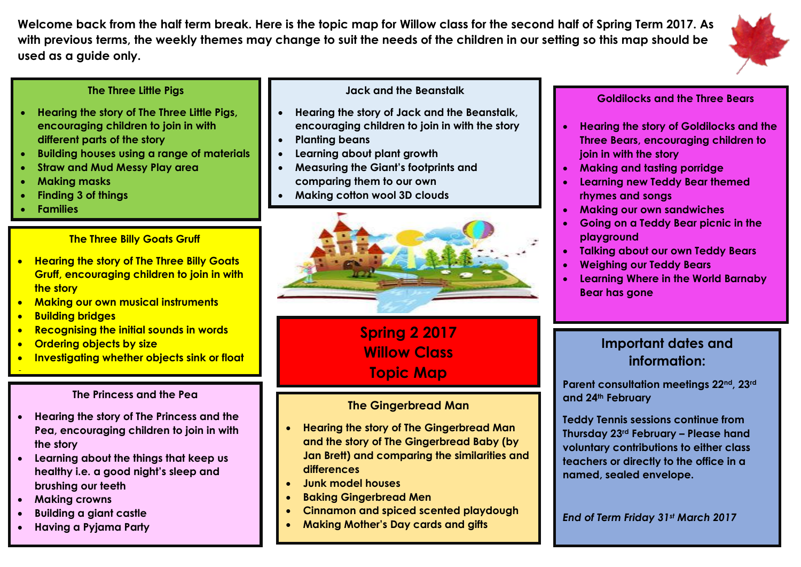**Welcome back from the half term break. Here is the topic map for Willow class for the second half of Spring Term 2017. As with previous terms, the weekly themes may change to suit the needs of the children in our setting so this map should be used as a guide only.** 



### **The Three Little Pigs**

- **Hearing the story of The Three Little Pigs, encouraging children to join in with different parts of the story**
- **Building houses using a range of materials**
- **Straw and Mud Messy Play area**
- **Making masks**
- **Finding 3 of things**
- **Families**

### **The Three Billy Goats Gruff**

- **Hearing the story of The Three Billy Goats Gruff, encouraging children to join in with the story**
- **Making our own musical instruments**
- **Building bridges**

l,

- **Recognising the initial sounds in words**
- **Ordering objects by size**
- **Investigating whether objects sink or float**

#### **The Princess and the Pea**

- **Hearing the story of The Princess and the Pea, encouraging children to join in with the story**
- **Learning about the things that keep us healthy i.e. a good night's sleep and brushing our teeth**
- **Making crowns**
- **Building a giant castle**
- **Having a Pyjama Party**

### **Jack and the Beanstalk**

- **Hearing the story of Jack and the Beanstalk, encouraging children to join in with the story**
- **Planting beans**
- **Learning about plant growth**
- **Measuring the Giant's footprints and comparing them to our own**
- **Making cotton wool 3D clouds**



**Spring 2 2017 Willow Class Topic Map**

### **The Gingerbread Man**

- **Hearing the story of The Gingerbread Man and the story of The Gingerbread Baby (by Jan Brett) and comparing the similarities and differences**
- **Junk model houses**
- **Baking Gingerbread Men**
- **Cinnamon and spiced scented playdough**
- **Making Mother's Day cards and gifts**

### **Goldilocks and the Three Bears**

- **Hearing the story of Goldilocks and the Three Bears, encouraging children to join in with the story**
- **Making and tasting porridge**
- **Learning new Teddy Bear themed rhymes and songs**
- **Making our own sandwiches**
- **Going on a Teddy Bear picnic in the playground**
- **Talking about our own Teddy Bears**
- **Weighing our Teddy Bears**
- **Learning Where in the World Barnaby Bear has gone**

## **Important dates and information:**

**Parent consultation meetings 22nd, 23rd and 24th February** 

**Teddy Tennis sessions continue from Thursday 23rd February – Please hand voluntary contributions to either class teachers or directly to the office in a named, sealed envelope.** 

*End of Term Friday 31st March 2017*